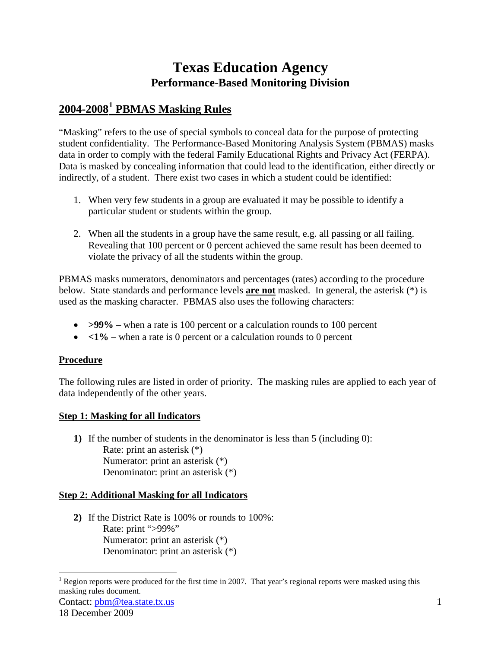# **Texas Education Agency Performance-Based Monitoring Division**

## **2004-2008[1](#page-0-0) PBMAS Masking Rules**

"Masking" refers to the use of special symbols to conceal data for the purpose of protecting student confidentiality. The Performance-Based Monitoring Analysis System (PBMAS) masks data in order to comply with the federal Family Educational Rights and Privacy Act (FERPA). Data is masked by concealing information that could lead to the identification, either directly or indirectly, of a student. There exist two cases in which a student could be identified:

- 1. When very few students in a group are evaluated it may be possible to identify a particular student or students within the group.
- 2. When all the students in a group have the same result, e.g. all passing or all failing. Revealing that 100 percent or 0 percent achieved the same result has been deemed to violate the privacy of all the students within the group.

PBMAS masks numerators, denominators and percentages (rates) according to the procedure below. State standards and performance levels **are not** masked. In general, the asterisk (\*) is used as the masking character. PBMAS also uses the following characters:

- **>99%** when a rate is 100 percent or a calculation rounds to 100 percent
- $\langle 1\% \text{when a rate is 0 percent or a calculation rounds to 0 percent}$

### **Procedure**

The following rules are listed in order of priority. The masking rules are applied to each year of data independently of the other years.

### **Step 1: Masking for all Indicators**

**1)** If the number of students in the denominator is less than 5 (including 0): Rate: print an asterisk (\*) Numerator: print an asterisk (\*) Denominator: print an asterisk (\*)

#### **Step 2: Additional Masking for all Indicators**

**2)** If the District Rate is 100% or rounds to 100%: Rate: print ">99%" Numerator: print an asterisk (\*) Denominator: print an asterisk (\*)

Contact: [pbm@tea.state.tx.us](mailto:pbm@tea.state.tx.us)

<span id="page-0-0"></span><sup>&</sup>lt;sup>1</sup> Region reports were produced for the first time in 2007. That year's regional reports were masked using this masking rules document.